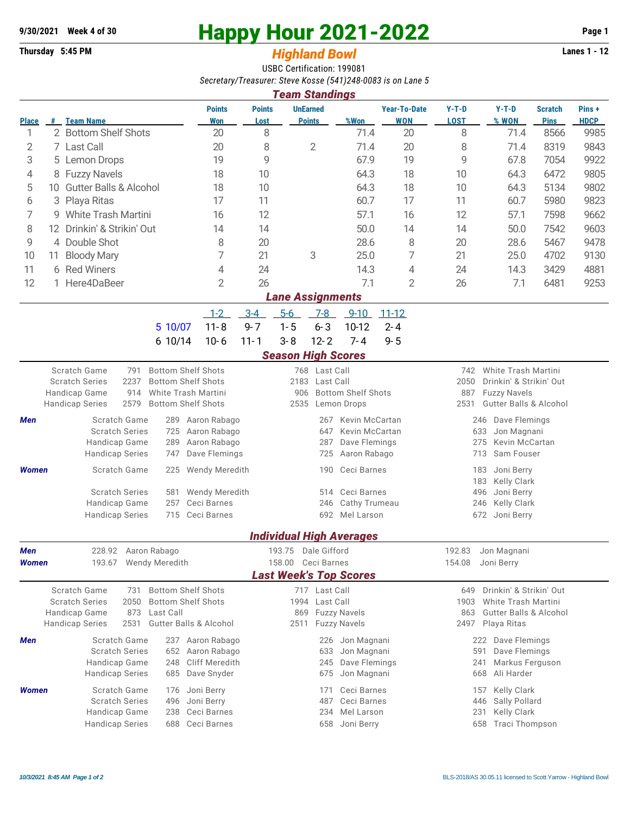## **9/30/2021** Week 4 of 30<br> **Happy Hour 2021-2022** Page 1<br> **Highland Rowl**

## **Thursday 5:45 PM** *Highland Bowl*

USBC Certification: 199081 *Secretary/Treasurer: Steve Kosse (541)248-0083 is on Lane 5*

|                         | <b>Team Standings</b>                |                                                                                                                                                                                                                              |                                                                                                                  |                       |                                                |                                                                                                                                        |                                   |                                                                                                                                          |                                                                                                                        |                               |                      |  |  |
|-------------------------|--------------------------------------|------------------------------------------------------------------------------------------------------------------------------------------------------------------------------------------------------------------------------|------------------------------------------------------------------------------------------------------------------|-----------------------|------------------------------------------------|----------------------------------------------------------------------------------------------------------------------------------------|-----------------------------------|------------------------------------------------------------------------------------------------------------------------------------------|------------------------------------------------------------------------------------------------------------------------|-------------------------------|----------------------|--|--|
| <b>Place</b>            |                                      | # Team Name                                                                                                                                                                                                                  | <b>Points</b><br><b>Won</b>                                                                                      | <b>Points</b><br>Lost | <b>UnEarned</b><br><b>Points</b>               | %Won                                                                                                                                   | <b>Year-To-Date</b><br><b>WON</b> | $Y-T-D$<br><b>LOST</b>                                                                                                                   | $Y-T-D$<br>% WON                                                                                                       | <b>Scratch</b><br><b>Pins</b> | Pins+<br><b>HDCP</b> |  |  |
| 1                       |                                      | 2 Bottom Shelf Shots                                                                                                                                                                                                         | 20                                                                                                               | 8                     |                                                | 71.4                                                                                                                                   | 20                                | 8                                                                                                                                        | 71.4                                                                                                                   | 8566                          | 9985                 |  |  |
| 2                       |                                      | 7 Last Call                                                                                                                                                                                                                  | 20                                                                                                               | 8                     | 2                                              | 71.4                                                                                                                                   | 20                                | 8                                                                                                                                        | 71.4                                                                                                                   | 8319                          | 9843                 |  |  |
| 3                       |                                      | 5 Lemon Drops<br>19                                                                                                                                                                                                          |                                                                                                                  | 9                     |                                                | 67.9                                                                                                                                   | 19                                | 9                                                                                                                                        | 67.8                                                                                                                   | 7054                          | 9922                 |  |  |
| 4                       |                                      | 8 Fuzzy Navels                                                                                                                                                                                                               | 18                                                                                                               | 10                    |                                                | 64.3                                                                                                                                   | 18                                | 10                                                                                                                                       | 64.3                                                                                                                   | 6472                          | 9805                 |  |  |
| 5                       |                                      | 10 Gutter Balls & Alcohol<br>18                                                                                                                                                                                              |                                                                                                                  | 10                    |                                                | 64.3                                                                                                                                   | 18                                | 10                                                                                                                                       | 64.3                                                                                                                   | 5134                          | 9802                 |  |  |
| 6                       | Playa Ritas<br>3                     |                                                                                                                                                                                                                              | 17<br>16                                                                                                         | 11                    |                                                | 60.7                                                                                                                                   | 17                                | 11                                                                                                                                       | 60.7                                                                                                                   | 5980                          | 9823                 |  |  |
|                         | 7<br><b>White Trash Martini</b><br>9 |                                                                                                                                                                                                                              |                                                                                                                  | 12                    |                                                | 57.1                                                                                                                                   | 16                                | 12                                                                                                                                       | 57.1                                                                                                                   | 7598                          | 9662                 |  |  |
| 8                       | 12                                   | Drinkin' & Strikin' Out                                                                                                                                                                                                      | 14                                                                                                               | 14                    |                                                | 50.0                                                                                                                                   | 14                                | 14                                                                                                                                       | 50.0                                                                                                                   | 7542                          | 9603                 |  |  |
| 9                       |                                      | 4 Double Shot                                                                                                                                                                                                                | 8                                                                                                                | 20                    |                                                | 28.6                                                                                                                                   | 8                                 | 20                                                                                                                                       | 28.6                                                                                                                   | 5467                          | 9478                 |  |  |
| 10                      | 11                                   | 7<br><b>Bloody Mary</b>                                                                                                                                                                                                      |                                                                                                                  | 21                    | 3                                              | 25.0                                                                                                                                   | 7                                 | 21                                                                                                                                       | 25.0                                                                                                                   | 4702                          | 9130                 |  |  |
| 11                      |                                      | 6 Red Winers                                                                                                                                                                                                                 | 4                                                                                                                | 24                    |                                                | 14.3                                                                                                                                   | 4                                 | 24                                                                                                                                       | 14.3                                                                                                                   | 3429                          | 4881                 |  |  |
| 12                      |                                      | 1 Here4DaBeer                                                                                                                                                                                                                | $\overline{2}$                                                                                                   | 26                    |                                                | 7.1                                                                                                                                    | 2                                 | 26                                                                                                                                       | 7.1                                                                                                                    | 6481                          | 9253                 |  |  |
| <b>Lane Assignments</b> |                                      |                                                                                                                                                                                                                              |                                                                                                                  |                       |                                                |                                                                                                                                        |                                   |                                                                                                                                          |                                                                                                                        |                               |                      |  |  |
|                         |                                      |                                                                                                                                                                                                                              | $1 - 2$                                                                                                          | $3 - 4$               | $5-6$<br>$7-8$                                 | $9 - 10$                                                                                                                               | $11 - 12$                         |                                                                                                                                          |                                                                                                                        |                               |                      |  |  |
|                         |                                      | 5 10/07                                                                                                                                                                                                                      | $11 - 8$                                                                                                         | $9 - 7$               | $1 - 5$<br>$6 - 3$                             | 10-12                                                                                                                                  | $2 - 4$                           |                                                                                                                                          |                                                                                                                        |                               |                      |  |  |
|                         |                                      | 6 10/14                                                                                                                                                                                                                      | $10 - 6$                                                                                                         | $11 - 1$              | $3 - 8$<br>$12 - 2$                            | $7 - 4$                                                                                                                                | $9 - 5$                           |                                                                                                                                          |                                                                                                                        |                               |                      |  |  |
|                         |                                      |                                                                                                                                                                                                                              |                                                                                                                  |                       | <b>Season High Scores</b>                      |                                                                                                                                        |                                   |                                                                                                                                          |                                                                                                                        |                               |                      |  |  |
|                         |                                      | <b>Bottom Shelf Shots</b><br>Scratch Game<br>791<br><b>Scratch Series</b><br>2237<br><b>Bottom Shelf Shots</b><br>White Trash Martini<br>Handicap Game<br>914<br><b>Bottom Shelf Shots</b><br><b>Handicap Series</b><br>2579 |                                                                                                                  |                       | 768 Last Call<br>2183<br>906<br>2535           | Last Call<br><b>Bottom Shelf Shots</b><br>Lemon Drops                                                                                  |                                   | White Trash Martini<br>742<br>2050<br>Drinkin' & Strikin' Out<br>887<br><b>Fuzzy Navels</b><br><b>Gutter Balls &amp; Alcohol</b><br>2531 |                                                                                                                        |                               |                      |  |  |
| Men                     |                                      | Scratch Game<br>289<br><b>Scratch Series</b><br>725<br>Handicap Game<br>289<br><b>Handicap Series</b><br>747                                                                                                                 | Aaron Rabago<br>Aaron Rabago<br>Aaron Rabago<br>Dave Flemings                                                    |                       | 267<br>647<br>287<br>725                       | Kevin McCartan<br>Kevin McCartan<br>Dave Flemings<br>Aaron Rabago                                                                      |                                   | Dave Flemings<br>246<br>633<br>Jon Magnani<br>Kevin McCartan<br>275<br>Sam Fouser<br>713                                                 |                                                                                                                        |                               |                      |  |  |
| <b>Women</b>            |                                      | Scratch Game<br>225                                                                                                                                                                                                          | Wendy Meredith                                                                                                   |                       | 190                                            | Ceci Barnes                                                                                                                            |                                   | 183<br>Joni Berry<br>183<br><b>Kelly Clark</b>                                                                                           |                                                                                                                        |                               |                      |  |  |
|                         |                                      | <b>Scratch Series</b><br>581<br>Handicap Game<br>257<br><b>Handicap Series</b><br>715                                                                                                                                        | <b>Wendy Meredith</b><br>Ceci Barnes<br>Ceci Barnes                                                              |                       | 246                                            | Ceci Barnes<br>514<br>Cathy Trumeau<br>692 Mel Larson                                                                                  |                                   | 496<br>246<br>672 Joni Berry                                                                                                             | Joni Berry<br>Kelly Clark                                                                                              |                               |                      |  |  |
|                         |                                      |                                                                                                                                                                                                                              |                                                                                                                  |                       |                                                | <b>Individual High Averages</b>                                                                                                        |                                   |                                                                                                                                          |                                                                                                                        |                               |                      |  |  |
| Men                     |                                      | 228.92 Aaron Rabago                                                                                                                                                                                                          |                                                                                                                  |                       | 193.75 Dale Gifford                            |                                                                                                                                        |                                   |                                                                                                                                          | 192.83 Jon Magnani                                                                                                     |                               |                      |  |  |
| <b>Women</b>            |                                      | 193.67 Wendy Meredith                                                                                                                                                                                                        |                                                                                                                  |                       | 158.00 Ceci Barnes                             | <b>Last Week's Top Scores</b>                                                                                                          |                                   | Joni Berry<br>154.08                                                                                                                     |                                                                                                                        |                               |                      |  |  |
|                         |                                      |                                                                                                                                                                                                                              |                                                                                                                  |                       |                                                |                                                                                                                                        |                                   |                                                                                                                                          |                                                                                                                        |                               |                      |  |  |
|                         |                                      | <b>Bottom Shelf Shots</b><br>Scratch Game<br>731<br><b>Scratch Series</b><br>2050<br><b>Bottom Shelf Shots</b><br>Handicap Game<br>873<br>Last Call<br><b>Handicap Series</b><br>2531<br><b>Gutter Balls &amp; Alcohol</b>   |                                                                                                                  |                       | 717 Last Call<br>1994 Last Call<br>869<br>2511 | <b>Fuzzy Navels</b><br><b>Fuzzy Navels</b>                                                                                             |                                   | Drinkin' & Strikin' Out<br>649<br>White Trash Martini<br>1903<br><b>Gutter Balls &amp; Alcohol</b><br>863<br>2497 Playa Ritas            |                                                                                                                        |                               |                      |  |  |
| Men<br><b>Women</b>     |                                      | Scratch Game<br><b>Scratch Series</b><br>Handicap Game<br>248<br><b>Handicap Series</b><br>685<br><b>Scratch Game</b><br>176<br><b>Scratch Series</b><br>496<br>Handicap Game<br>238                                         | 237 Aaron Rabago<br>652 Aaron Rabago<br>Cliff Meredith<br>Dave Snyder<br>Joni Berry<br>Joni Berry<br>Ceci Barnes |                       | 171<br>487                                     | 226 Jon Magnani<br>Jon Magnani<br>633<br>Dave Flemings<br>245<br>Jon Magnani<br>675<br>Ceci Barnes<br>Ceci Barnes<br>Mel Larson<br>234 |                                   | 591<br>241<br>668<br>446<br>231                                                                                                          | 222 Dave Flemings<br>Dave Flemings<br>Markus Ferguson<br>Ali Harder<br>157 Kelly Clark<br>Sally Pollard<br>Kelly Clark |                               |                      |  |  |
|                         |                                      | <b>Handicap Series</b><br>688                                                                                                                                                                                                | Ceci Barnes                                                                                                      |                       |                                                | 658 Joni Berry                                                                                                                         |                                   | 658                                                                                                                                      | <b>Traci Thompson</b>                                                                                                  |                               |                      |  |  |